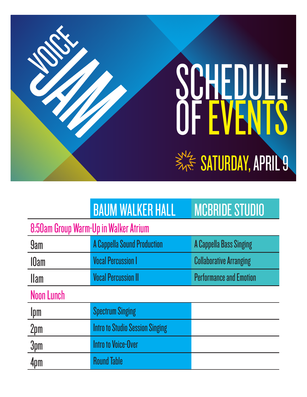# SATURDAY, APRIL 9 SCHEDULE OF EVENTS

# BAUM WALKER HALL MCBRIDE STUDIO

# 8:50am Group Warm-Up in Walker Atrium

| <b>9am</b>        | <b>A Cappella Sound Production</b>     | <b>A Cappella Bass Singing</b> |
|-------------------|----------------------------------------|--------------------------------|
| <b>IOam</b>       | <b>Vocal Percussion I</b>              | <b>Collaborative Arranging</b> |
| <b>Ilam</b>       | <b>Vocal Percussion II</b>             | <b>Performance and Emotion</b> |
| <b>Noon Lunch</b> |                                        |                                |
| Ipm               | <b>Spectrum Singing</b>                |                                |
| 2pm               | <b>Intro to Studio Session Singing</b> |                                |
| 3pm               | <b>Intro to Voice-Over</b>             |                                |
| 4pm               | <b>Round Table</b>                     |                                |